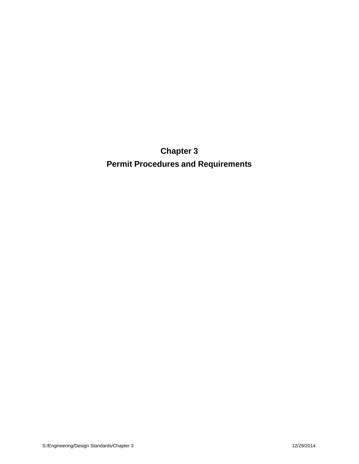**Chapter 3 Permit Procedures and Requirements**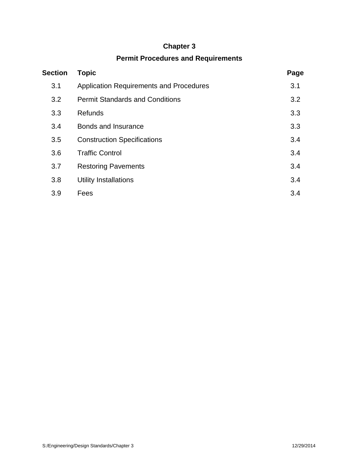# **Chapter 3**

# **Permit Procedures and Requirements**

| <b>Section</b> | <b>Topic</b>                                   | Page |
|----------------|------------------------------------------------|------|
| 3.1            | <b>Application Requirements and Procedures</b> | 3.1  |
| 3.2            | <b>Permit Standards and Conditions</b>         | 3.2  |
| 3.3            | <b>Refunds</b>                                 | 3.3  |
| 3.4            | <b>Bonds and Insurance</b>                     | 3.3  |
| 3.5            | <b>Construction Specifications</b>             | 3.4  |
| 3.6            | <b>Traffic Control</b>                         | 3.4  |
| 3.7            | <b>Restoring Pavements</b>                     | 3.4  |
| 3.8            | Utility Installations                          | 3.4  |
| 3.9            | Fees                                           | 3.4  |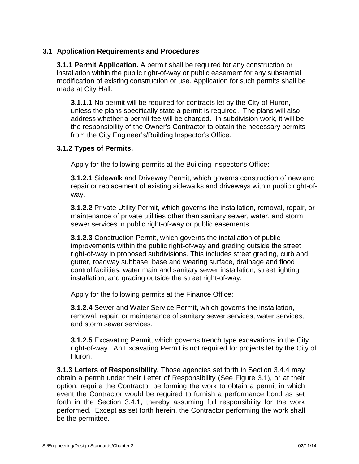#### **3.1 Application Requirements and Procedures**

**3.1.1 Permit Application.** A permit shall be required for any construction or installation within the public right-of-way or public easement for any substantial modification of existing construction or use. Application for such permits shall be made at City Hall.

**3.1.1.1** No permit will be required for contracts let by the City of Huron, unless the plans specifically state a permit is required. The plans will also address whether a permit fee will be charged. In subdivision work, it will be the responsibility of the Owner's Contractor to obtain the necessary permits from the City Engineer's/Building Inspector's Office.

#### **3.1.2 Types of Permits.**

Apply for the following permits at the Building Inspector's Office:

**3.1.2.1** Sidewalk and Driveway Permit, which governs construction of new and repair or replacement of existing sidewalks and driveways within public right-of way.

**3.1.2.2** Private Utility Permit, which governs the installation, removal, repair, or maintenance of private utilities other than sanitary sewer, water, and storm sewer services in public right-of-way or public easements.

**3.1.2.3** Construction Permit, which governs the installation of public improvements within the public right-of-way and grading outside the street right-of-way in proposed subdivisions. This includes street grading, curb and gutter, roadway subbase, base and wearing surface, drainage and flood control facilities, water main and sanitary sewer installation, street lighting installation, and grading outside the street right-of-way.

Apply for the following permits at the Finance Office:

**3.1.2.4** Sewer and Water Service Permit, which governs the installation, removal, repair, or maintenance of sanitary sewer services, water services, and storm sewer services.

**3.1.2.5** Excavating Permit, which governs trench type excavations in the City right-of-way. An Excavating Permit is not required for projects let by the City of Huron.

**3.1.3 Letters of Responsibility.** Those agencies set forth in Section 3.4.4 may obtain a permit under their Letter of Responsibility (See Figure 3.1), or at their option, require the Contractor performing the work to obtain a permit in which event the Contractor would be required to furnish a performance bond as set forth in the Section 3.4.1, thereby assuming full responsibility for the work performed. Except as set forth herein, the Contractor performing the work shall be the permittee.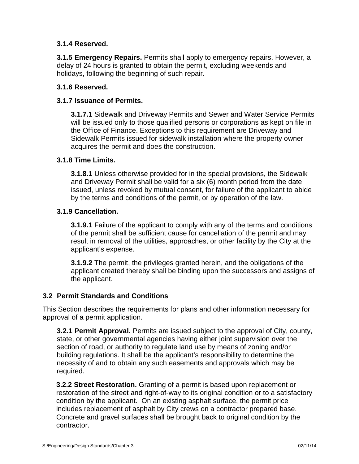# **3.1.4 Reserved.**

**3.1.5 Emergency Repairs.** Permits shall apply to emergency repairs. However, a delay of 24 hours is granted to obtain the permit, excluding weekends and holidays, following the beginning of such repair.

# **3.1.6 Reserved.**

# **3.1.7 Issuance of Permits.**

**3.1.7.1** Sidewalk and Driveway Permits and Sewer and Water Service Permits will be issued only to those qualified persons or corporations as kept on file in the Office of Finance. Exceptions to this requirement are Driveway and Sidewalk Permits issued for sidewalk installation where the property owner acquires the permit and does the construction.

#### **3.1.8 Time Limits.**

**3.1.8.1** Unless otherwise provided for in the special provisions, the Sidewalk and Driveway Permit shall be valid for a six (6) month period from the date issued, unless revoked by mutual consent, for failure of the applicant to abide by the terms and conditions of the permit, or by operation of the law.

#### **3.1.9 Cancellation.**

**3.1.9.1** Failure of the applicant to comply with any of the terms and conditions of the permit shall be sufficient cause for cancellation of the permit and may result in removal of the utilities, approaches, or other facility by the City at the applicant's expense.

**3.1.9.2** The permit, the privileges granted herein, and the obligations of the applicant created thereby shall be binding upon the successors and assigns of the applicant.

#### **3.2 Permit Standards and Conditions**

This Section describes the requirements for plans and other information necessary for approval of a permit application.

**3.2.1 Permit Approval.** Permits are issued subject to the approval of City, county, state, or other governmental agencies having either joint supervision over the section of road, or authority to regulate land use by means of zoning and/or building regulations. It shall be the applicant's responsibility to determine the necessity of and to obtain any such easements and approvals which may be required.

**3.2.2 Street Restoration.** Granting of a permit is based upon replacement or restoration of the street and right-of-way to its original condition or to a satisfactory condition by the applicant. On an existing asphalt surface, the permit price includes replacement of asphalt by City crews on a contractor prepared base. Concrete and gravel surfaces shall be brought back to original condition by the contractor.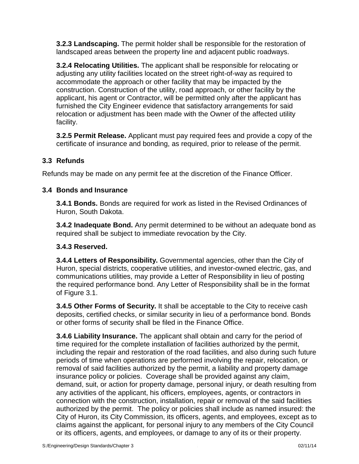**3.2.3 Landscaping.** The permit holder shall be responsible for the restoration of landscaped areas between the property line and adjacent public roadways.

**3.2.4 Relocating Utilities.** The applicant shall be responsible for relocating or adjusting any utility facilities located on the street right-of-way as required to accommodate the approach or other facility that may be impacted by the construction. Construction of the utility, road approach, or other facility by the applicant, his agent or Contractor, will be permitted only after the applicant has furnished the City Engineer evidence that satisfactory arrangements for said relocation or adjustment has been made with the Owner of the affected utility facility.

**3.2.5 Permit Release.** Applicant must pay required fees and provide a copy of the certificate of insurance and bonding, as required, prior to release of the permit.

# **3.3 Refunds**

Refunds may be made on any permit fee at the discretion of the Finance Officer.

# **3.4 Bonds and Insurance**

**3.4.1 Bonds.** Bonds are required for work as listed in the Revised Ordinances of Huron, South Dakota.

**3.4.2 Inadequate Bond.** Any permit determined to be without an adequate bond as required shall be subject to immediate revocation by the City.

#### **3.4.3 Reserved.**

**3.4.4 Letters of Responsibility.** Governmental agencies, other than the City of Huron, special districts, cooperative utilities, and investor-owned electric, gas, and communications utilities, may provide a Letter of Responsibility in lieu of posting the required performance bond. Any Letter of Responsibility shall be in the format of Figure 3.1.

**3.4.5 Other Forms of Security.** It shall be acceptable to the City to receive cash deposits, certified checks, or similar security in lieu of a performance bond. Bonds or other forms of security shall be filed in the Finance Office.

**3.4.6 Liability Insurance.** The applicant shall obtain and carry for the period of time required for the complete installation of facilities authorized by the permit, including the repair and restoration of the road facilities, and also during such future periods of time when operations are performed involving the repair, relocation, or removal of said facilities authorized by the permit, a liability and property damage insurance policy or policies. Coverage shall be provided against any claim, demand, suit, or action for property damage, personal injury, or death resulting from any activities of the applicant, his officers, employees, agents, or contractors in connection with the construction, installation, repair or removal of the said facilities authorized by the permit. The policy or policies shall include as named insured: the City of Huron, its City Commission, its officers, agents, and employees, except as to claims against the applicant, for personal injury to any members of the City Council or its officers, agents, and employees, or damage to any of its or their property.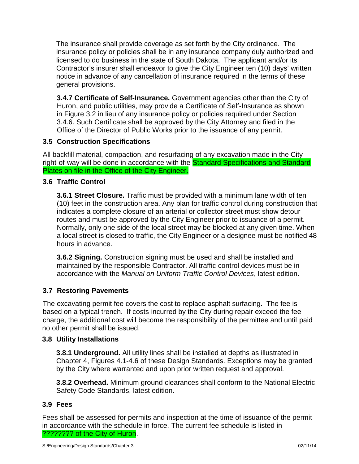The insurance shall provide coverage as set forth by the City ordinance. The insurance policy or policies shall be in any insurance company duly authorized and licensed to do business in the state of South Dakota. The applicant and/or its Contractor's insurer shall endeavor to give the City Engineer ten (10) days' written notice in advance of any cancellation of insurance required in the terms of these general provisions.

**3.4.7 Certificate of Self-Insurance.** Government agencies other than the City of Huron, and public utilities, may provide a Certificate of Self-Insurance as shown in Figure 3.2 in lieu of any insurance policy or policies required under Section 3.4.6. Such Certificate shall be approved by the City Attorney and filed in the Office of the Director of Public Works prior to the issuance of any permit.

# **3.5 Construction Specifications**

All backfill material, compaction, and resurfacing of any excavation made in the City right-of-way will be done in accordance with the Standard Specifications and Standard Plates on file in the Office of the City Engineer.

# **3.6 Traffic Control**

**3.6.1 Street Closure.** Traffic must be provided with a minimum lane width of ten (10) feet in the construction area. Any plan for traffic control during construction that indicates a complete closure of an arterial or collector street must show detour routes and must be approved by the City Engineer prior to issuance of a permit. Normally, only one side of the local street may be blocked at any given time. When a local street is closed to traffic, the City Engineer or a designee must be notified 48 hours in advance.

**3.6.2 Signing.** Construction signing must be used and shall be installed and maintained by the responsible Contractor. All traffic control devices must be in accordance with the *Manual on Uniform Traffic Control Devices*, latest edition.

# **3.7 Restoring Pavements**

The excavating permit fee covers the cost to replace asphalt surfacing. The fee is based on a typical trench. If costs incurred by the City during repair exceed the fee charge, the additional cost will become the responsibility of the permittee and until paid no other permit shall be issued.

#### **3.8 Utility Installations**

**3.8.1 Underground.** All utility lines shall be installed at depths as illustrated in Chapter 4, Figures 4.1-4.6 of these Design Standards. Exceptions may be granted by the City where warranted and upon prior written request and approval.

**3.8.2 Overhead.** Minimum ground clearances shall conform to the National Electric Safety Code Standards, latest edition.

#### **3.9 Fees**

Fees shall be assessed for permits and inspection at the time of issuance of the permit in accordance with the schedule in force. The current fee schedule is listed in ???????? of the City of Huron.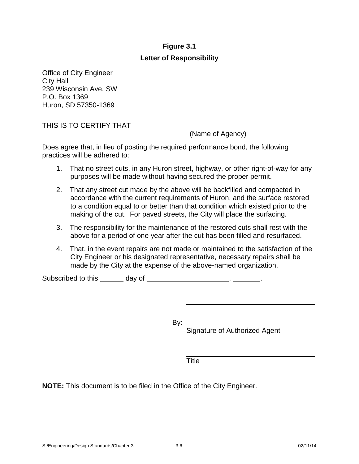# **Figure 3.1**

# **Letter of Responsibility**

Office of City Engineer City Hall 239 Wisconsin Ave. SW P.O. Box 1369 Huron, SD 57350-1369

THIS IS TO CERTIFY THAT \_\_\_\_\_\_\_\_

(Name of Agency)

Does agree that, in lieu of posting the required performance bond, the following practices will be adhered to:

- 1. That no street cuts, in any Huron street, highway, or other right-of-way for any purposes will be made without having secured the proper permit.
- 2. That any street cut made by the above will be backfilled and compacted in accordance with the current requirements of Huron, and the surface restored to a condition equal to or better than that condition which existed prior to the making of the cut. For paved streets, the City will place the surfacing.
- 3. The responsibility for the maintenance of the restored cuts shall rest with the above for a period of one year after the cut has been filled and resurfaced.
- 4. That, in the event repairs are not made or maintained to the satisfaction of the City Engineer or his designated representative, necessary repairs shall be made by the City at the expense of the above-named organization.

Subscribed to this \_\_\_\_\_\_ day of \_\_\_\_\_\_\_\_\_\_\_\_\_\_\_\_\_\_\_\_\_\_\_\_\_, \_\_\_\_\_\_\_\_.

By: \_\_\_

Signature of Authorized Agent

Title

**NOTE:** This document is to be filed in the Office of the City Engineer.